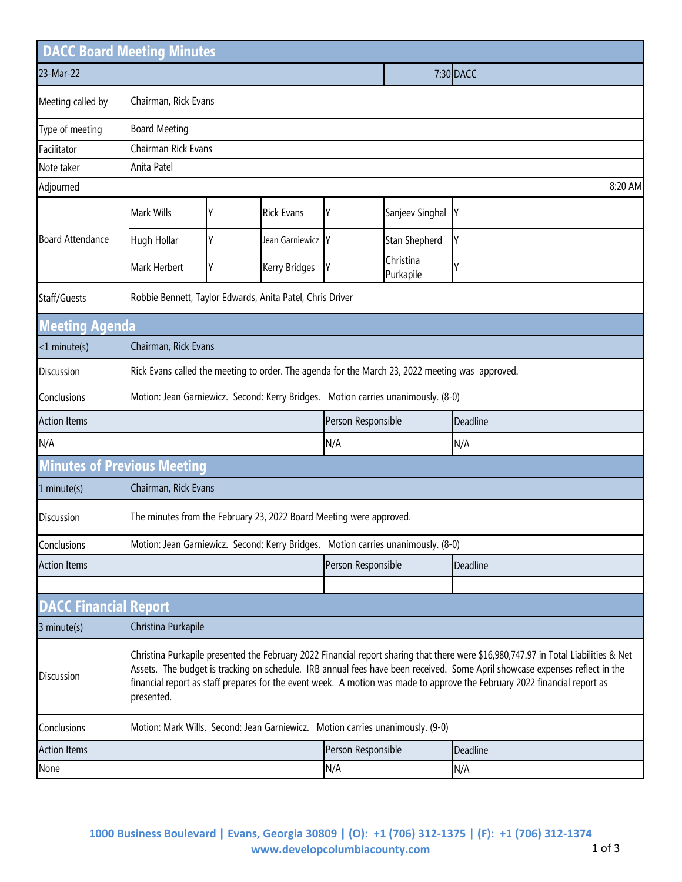|                              | <b>DACC Board Meeting Minutes</b>                                                                                                                                                                                                                                                                                                                                                                             |                                                                                   |                    |                    |                        |          |  |  |  |  |
|------------------------------|---------------------------------------------------------------------------------------------------------------------------------------------------------------------------------------------------------------------------------------------------------------------------------------------------------------------------------------------------------------------------------------------------------------|-----------------------------------------------------------------------------------|--------------------|--------------------|------------------------|----------|--|--|--|--|
| 23-Mar-22                    |                                                                                                                                                                                                                                                                                                                                                                                                               |                                                                                   |                    | 7:30 DACC          |                        |          |  |  |  |  |
| Meeting called by            | Chairman, Rick Evans                                                                                                                                                                                                                                                                                                                                                                                          |                                                                                   |                    |                    |                        |          |  |  |  |  |
| Type of meeting              | <b>Board Meeting</b>                                                                                                                                                                                                                                                                                                                                                                                          |                                                                                   |                    |                    |                        |          |  |  |  |  |
| Facilitator                  |                                                                                                                                                                                                                                                                                                                                                                                                               | Chairman Rick Evans                                                               |                    |                    |                        |          |  |  |  |  |
| Note taker                   | Anita Patel                                                                                                                                                                                                                                                                                                                                                                                                   |                                                                                   |                    |                    |                        |          |  |  |  |  |
| Adjourned                    |                                                                                                                                                                                                                                                                                                                                                                                                               |                                                                                   |                    |                    |                        | 8:20 AM  |  |  |  |  |
|                              | Mark Wills                                                                                                                                                                                                                                                                                                                                                                                                    | Y                                                                                 | <b>Rick Evans</b>  | Υ                  | Sanjeev Singhal        | IY       |  |  |  |  |
| <b>Board Attendance</b>      | Hugh Hollar                                                                                                                                                                                                                                                                                                                                                                                                   | Y                                                                                 | Jean Garniewicz Y  |                    | Stan Shepherd          | Y        |  |  |  |  |
|                              | Mark Herbert                                                                                                                                                                                                                                                                                                                                                                                                  | Y                                                                                 | Kerry Bridges      | Y                  | Christina<br>Purkapile |          |  |  |  |  |
| Staff/Guests                 |                                                                                                                                                                                                                                                                                                                                                                                                               | Robbie Bennett, Taylor Edwards, Anita Patel, Chris Driver                         |                    |                    |                        |          |  |  |  |  |
| <b>Meeting Agenda</b>        |                                                                                                                                                                                                                                                                                                                                                                                                               |                                                                                   |                    |                    |                        |          |  |  |  |  |
| <1 minute(s)                 | Chairman, Rick Evans                                                                                                                                                                                                                                                                                                                                                                                          |                                                                                   |                    |                    |                        |          |  |  |  |  |
| Discussion                   | Rick Evans called the meeting to order. The agenda for the March 23, 2022 meeting was approved.                                                                                                                                                                                                                                                                                                               |                                                                                   |                    |                    |                        |          |  |  |  |  |
| Conclusions                  | Motion: Jean Garniewicz. Second: Kerry Bridges. Motion carries unanimously. (8-0)                                                                                                                                                                                                                                                                                                                             |                                                                                   |                    |                    |                        |          |  |  |  |  |
| <b>Action Items</b>          |                                                                                                                                                                                                                                                                                                                                                                                                               |                                                                                   |                    | Person Responsible |                        | Deadline |  |  |  |  |
| N/A                          |                                                                                                                                                                                                                                                                                                                                                                                                               |                                                                                   |                    | N/A                |                        | N/A      |  |  |  |  |
|                              | <b>Minutes of Previous Meeting</b>                                                                                                                                                                                                                                                                                                                                                                            |                                                                                   |                    |                    |                        |          |  |  |  |  |
| 1 minute(s)                  |                                                                                                                                                                                                                                                                                                                                                                                                               | Chairman, Rick Evans                                                              |                    |                    |                        |          |  |  |  |  |
| <b>Discussion</b>            |                                                                                                                                                                                                                                                                                                                                                                                                               | The minutes from the February 23, 2022 Board Meeting were approved.               |                    |                    |                        |          |  |  |  |  |
| Conclusions                  |                                                                                                                                                                                                                                                                                                                                                                                                               | Motion: Jean Garniewicz. Second: Kerry Bridges. Motion carries unanimously. (8-0) |                    |                    |                        |          |  |  |  |  |
| <b>Action Items</b>          |                                                                                                                                                                                                                                                                                                                                                                                                               |                                                                                   | Person Responsible |                    | Deadline               |          |  |  |  |  |
|                              |                                                                                                                                                                                                                                                                                                                                                                                                               |                                                                                   |                    |                    |                        |          |  |  |  |  |
| <b>DACC Financial Report</b> |                                                                                                                                                                                                                                                                                                                                                                                                               |                                                                                   |                    |                    |                        |          |  |  |  |  |
| 3 minute(s)                  |                                                                                                                                                                                                                                                                                                                                                                                                               | Christina Purkapile                                                               |                    |                    |                        |          |  |  |  |  |
| <b>Discussion</b>            | Christina Purkapile presented the February 2022 Financial report sharing that there were \$16,980,747.97 in Total Liabilities & Net<br>Assets. The budget is tracking on schedule. IRB annual fees have been received. Some April showcase expenses reflect in the<br>financial report as staff prepares for the event week. A motion was made to approve the February 2022 financial report as<br>presented. |                                                                                   |                    |                    |                        |          |  |  |  |  |
| Conclusions                  |                                                                                                                                                                                                                                                                                                                                                                                                               | Motion: Mark Wills. Second: Jean Garniewicz. Motion carries unanimously. (9-0)    |                    |                    |                        |          |  |  |  |  |
| <b>Action Items</b>          |                                                                                                                                                                                                                                                                                                                                                                                                               |                                                                                   | Person Responsible | Deadline           |                        |          |  |  |  |  |
| None                         |                                                                                                                                                                                                                                                                                                                                                                                                               |                                                                                   | N/A                |                    | N/A                    |          |  |  |  |  |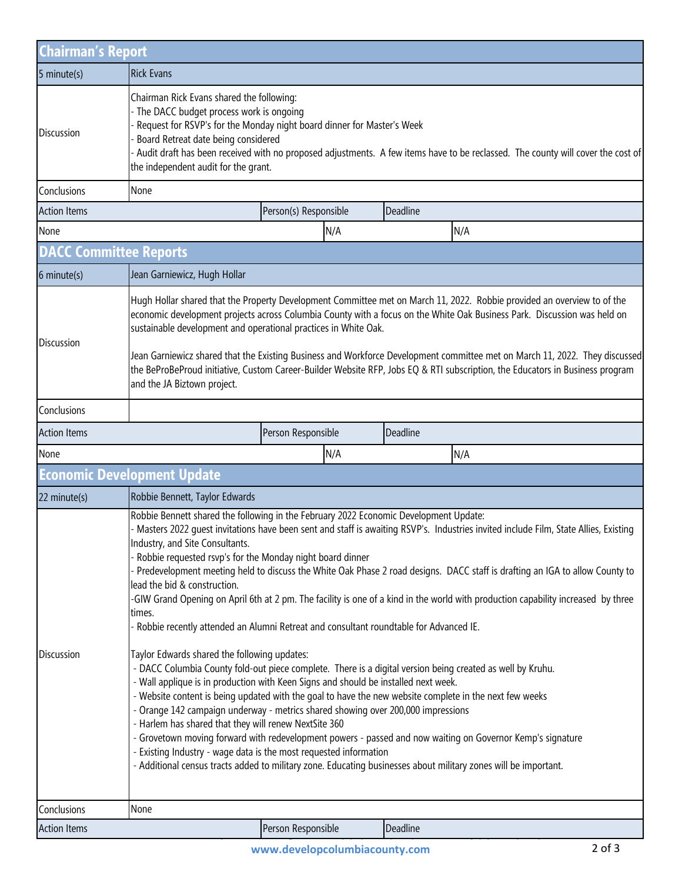| <b>Chairman's Report</b>      |                                                                                                                                                                                                                                                                                                                                                                                                                                                                                                                                                                                                                                                                                                                                                                                                                                                                                                                                                                                                                                                                                                                                                                                                                                                                                                                                                                                                                                                                                                                                                        |                       |          |  |  |  |  |  |
|-------------------------------|--------------------------------------------------------------------------------------------------------------------------------------------------------------------------------------------------------------------------------------------------------------------------------------------------------------------------------------------------------------------------------------------------------------------------------------------------------------------------------------------------------------------------------------------------------------------------------------------------------------------------------------------------------------------------------------------------------------------------------------------------------------------------------------------------------------------------------------------------------------------------------------------------------------------------------------------------------------------------------------------------------------------------------------------------------------------------------------------------------------------------------------------------------------------------------------------------------------------------------------------------------------------------------------------------------------------------------------------------------------------------------------------------------------------------------------------------------------------------------------------------------------------------------------------------------|-----------------------|----------|--|--|--|--|--|
| $5$ minute $(s)$              | <b>Rick Evans</b>                                                                                                                                                                                                                                                                                                                                                                                                                                                                                                                                                                                                                                                                                                                                                                                                                                                                                                                                                                                                                                                                                                                                                                                                                                                                                                                                                                                                                                                                                                                                      |                       |          |  |  |  |  |  |
| <b>Discussion</b>             | Chairman Rick Evans shared the following:<br>The DACC budget process work is ongoing<br>Request for RSVP's for the Monday night board dinner for Master's Week<br>Board Retreat date being considered<br>Audit draft has been received with no proposed adjustments. A few items have to be reclassed. The county will cover the cost of<br>the independent audit for the grant.                                                                                                                                                                                                                                                                                                                                                                                                                                                                                                                                                                                                                                                                                                                                                                                                                                                                                                                                                                                                                                                                                                                                                                       |                       |          |  |  |  |  |  |
| Conclusions                   | None                                                                                                                                                                                                                                                                                                                                                                                                                                                                                                                                                                                                                                                                                                                                                                                                                                                                                                                                                                                                                                                                                                                                                                                                                                                                                                                                                                                                                                                                                                                                                   |                       |          |  |  |  |  |  |
| <b>Action Items</b>           |                                                                                                                                                                                                                                                                                                                                                                                                                                                                                                                                                                                                                                                                                                                                                                                                                                                                                                                                                                                                                                                                                                                                                                                                                                                                                                                                                                                                                                                                                                                                                        | Person(s) Responsible | Deadline |  |  |  |  |  |
| None                          |                                                                                                                                                                                                                                                                                                                                                                                                                                                                                                                                                                                                                                                                                                                                                                                                                                                                                                                                                                                                                                                                                                                                                                                                                                                                                                                                                                                                                                                                                                                                                        | N/A                   | N/A      |  |  |  |  |  |
| <b>DACC Committee Reports</b> |                                                                                                                                                                                                                                                                                                                                                                                                                                                                                                                                                                                                                                                                                                                                                                                                                                                                                                                                                                                                                                                                                                                                                                                                                                                                                                                                                                                                                                                                                                                                                        |                       |          |  |  |  |  |  |
| $6$ minute $(s)$              | Jean Garniewicz, Hugh Hollar                                                                                                                                                                                                                                                                                                                                                                                                                                                                                                                                                                                                                                                                                                                                                                                                                                                                                                                                                                                                                                                                                                                                                                                                                                                                                                                                                                                                                                                                                                                           |                       |          |  |  |  |  |  |
| <b>Discussion</b>             | Hugh Hollar shared that the Property Development Committee met on March 11, 2022. Robbie provided an overview to of the<br>economic development projects across Columbia County with a focus on the White Oak Business Park. Discussion was held on<br>sustainable development and operational practices in White Oak.<br>Jean Garniewicz shared that the Existing Business and Workforce Development committee met on March 11, 2022. They discussed<br>the BeProBeProud initiative, Custom Career-Builder Website RFP, Jobs EQ & RTI subscription, the Educators in Business program<br>and the JA Biztown project.                                                                                                                                                                                                                                                                                                                                                                                                                                                                                                                                                                                                                                                                                                                                                                                                                                                                                                                                  |                       |          |  |  |  |  |  |
| Conclusions                   |                                                                                                                                                                                                                                                                                                                                                                                                                                                                                                                                                                                                                                                                                                                                                                                                                                                                                                                                                                                                                                                                                                                                                                                                                                                                                                                                                                                                                                                                                                                                                        |                       |          |  |  |  |  |  |
| <b>Action Items</b>           |                                                                                                                                                                                                                                                                                                                                                                                                                                                                                                                                                                                                                                                                                                                                                                                                                                                                                                                                                                                                                                                                                                                                                                                                                                                                                                                                                                                                                                                                                                                                                        | Person Responsible    | Deadline |  |  |  |  |  |
| None                          |                                                                                                                                                                                                                                                                                                                                                                                                                                                                                                                                                                                                                                                                                                                                                                                                                                                                                                                                                                                                                                                                                                                                                                                                                                                                                                                                                                                                                                                                                                                                                        | N/A                   | N/A      |  |  |  |  |  |
|                               | <b>Economic Development Update</b>                                                                                                                                                                                                                                                                                                                                                                                                                                                                                                                                                                                                                                                                                                                                                                                                                                                                                                                                                                                                                                                                                                                                                                                                                                                                                                                                                                                                                                                                                                                     |                       |          |  |  |  |  |  |
| 22 minute(s)                  | Robbie Bennett, Taylor Edwards                                                                                                                                                                                                                                                                                                                                                                                                                                                                                                                                                                                                                                                                                                                                                                                                                                                                                                                                                                                                                                                                                                                                                                                                                                                                                                                                                                                                                                                                                                                         |                       |          |  |  |  |  |  |
| Discussion                    | Robbie Bennett shared the following in the February 2022 Economic Development Update:<br>Masters 2022 quest invitations have been sent and staff is awaiting RSVP's. Industries invited include Film, State Allies, Existing<br>Industry, and Site Consultants.<br>Robbie requested rsvp's for the Monday night board dinner<br>Predevelopment meeting held to discuss the White Oak Phase 2 road designs. DACC staff is drafting an IGA to allow County to<br>lead the bid & construction.<br>-GIW Grand Opening on April 6th at 2 pm. The facility is one of a kind in the world with production capability increased by three<br>times.<br>Robbie recently attended an Alumni Retreat and consultant roundtable for Advanced IE.<br>Taylor Edwards shared the following updates:<br>- DACC Columbia County fold-out piece complete. There is a digital version being created as well by Kruhu.<br>- Wall applique is in production with Keen Signs and should be installed next week.<br>- Website content is being updated with the goal to have the new website complete in the next few weeks<br>- Orange 142 campaign underway - metrics shared showing over 200,000 impressions<br>- Harlem has shared that they will renew NextSite 360<br>- Grovetown moving forward with redevelopment powers - passed and now waiting on Governor Kemp's signature<br>- Existing Industry - wage data is the most requested information<br>- Additional census tracts added to military zone. Educating businesses about military zones will be important. |                       |          |  |  |  |  |  |
| Conclusions                   | None                                                                                                                                                                                                                                                                                                                                                                                                                                                                                                                                                                                                                                                                                                                                                                                                                                                                                                                                                                                                                                                                                                                                                                                                                                                                                                                                                                                                                                                                                                                                                   |                       |          |  |  |  |  |  |
| <b>Action Items</b>           |                                                                                                                                                                                                                                                                                                                                                                                                                                                                                                                                                                                                                                                                                                                                                                                                                                                                                                                                                                                                                                                                                                                                                                                                                                                                                                                                                                                                                                                                                                                                                        | Person Responsible    | Deadline |  |  |  |  |  |